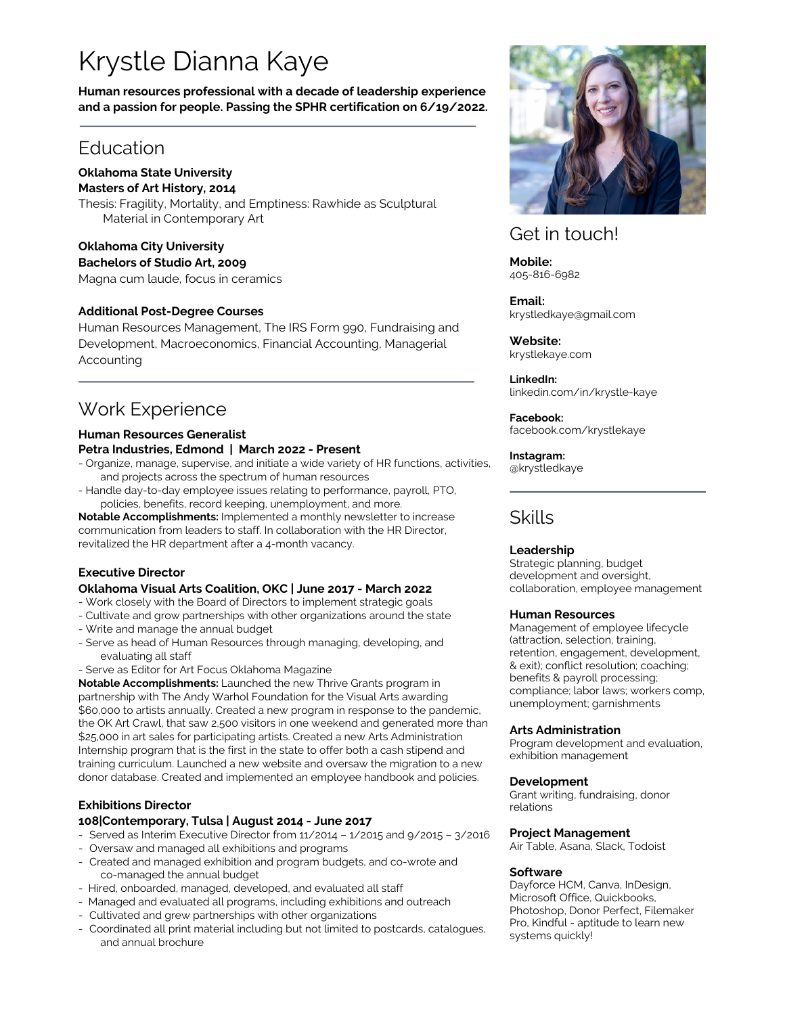# Krystle Dianna Kaye

**Human resources professional with a decade of leadership experience and a passion for people. Passing the SPHR certification on 6/19/2022.**

### **Education**

#### **Oklahoma State University Masters of Art History, 2014**

Thesis: Fragility, Mortality, and Emptiness: Rawhide as Sculptural Material in Contemporary Art

### **Oklahoma City University**

**Bachelors of Studio Art, 2009**

Magna cum laude, focus in ceramics

#### **Additional Post-Degree Courses**

Human Resources Management, The IRS Form 990, Fundraising and Development, Macroeconomics, Financial Accounting, Managerial Accounting

# Work Experience

#### **Human Resources Generalist**

#### **Petra Industries, Edmond | March 2022 - Present**

- Organize, manage, supervise, and initiate a wide variety of HR functions, activities, and projects across the spectrum of human resources
- Handle day-to-day employee issues relating to performance, payroll, PTO, policies, benefits, record keeping, unemployment, and more.

**Notable Accomplishments:** Implemented a monthly newsletter to increase communication from leaders to staff. In collaboration with the HR Director, revitalized the HR department after a 4-month vacancy.

### **Executive Director**

#### **Oklahoma Visual Arts Coalition, OKC | June 2017 - March 2022**

- Work closely with the Board of Directors to implement strategic goals
- Cultivate and grow partnerships with other organizations around the state
- Write and manage the annual budget
- Serve as head of Human Resources through managing, developing, and evaluating all staff
- Serve as Editor for Art Focus Oklahoma Magazine

**Notable Accomplishments:** Launched the new Thrive Grants program in partnership with The Andy Warhol Foundation for the Visual Arts awarding \$60,000 to artists annually. Created a new program in response to the pandemic, the OK Art Crawl, that saw 2,500 visitors in one weekend and generated more than \$25,000 in art sales for participating artists. Created a new Arts Administration Internship program that is the first in the state to offer both a cash stipend and training curriculum. Launched a new website and oversaw the migration to a new donor database. Created and implemented an employee handbook and policies.

### **Exhibitions Director**

#### **108|Contemporary, Tulsa | August 2014 - June 2017**

- Served as Interim Executive Director from 11/2014 1/2015 and 9/2015 3/2016
- Oversaw and managed all exhibitions and programs
- Created and managed exhibition and program budgets, and co-wrote and co-managed the annual budget
- Hired, onboarded, managed, developed, and evaluated all staff
- Managed and evaluated all programs, including exhibitions and outreach
- Cultivated and grew partnerships with other organizations
- Coordinated all print material including but not limited to postcards, catalogues, and annual brochure



### Get in touch!

**Mobile:** 405-816-6982

**Email:** krystledkaye@gmail.com

**Website:** krystlekaye.com

**LinkedIn:** linkedin.com/in/krystle-kaye

#### **Facebook:**

facebook.com/krystlekaye

#### **Instagram:**

@krystledkaye

# Skills

#### **Leadership**

Strategic planning, budget development and oversight, collaboration, employee management

#### **Human Resources**

Management of employee lifecycle (attraction, selection, training, retention, engagement, development, & exit); conflict resolution; coaching; benefits & payroll processing; compliance; labor laws; workers comp, unemployment; garnishments

#### **Arts Administration**

Program development and evaluation, exhibition management

#### **Development**

Grant writing, fundraising, donor relations

#### **Project Management**

Air Table, Asana, Slack, Todoist

#### **Software**

Dayforce HCM, Canva, InDesign, Microsoft Office, Quickbooks, Photoshop, Donor Perfect, Filemaker Pro, Kindful - aptitude to learn new systems quickly!